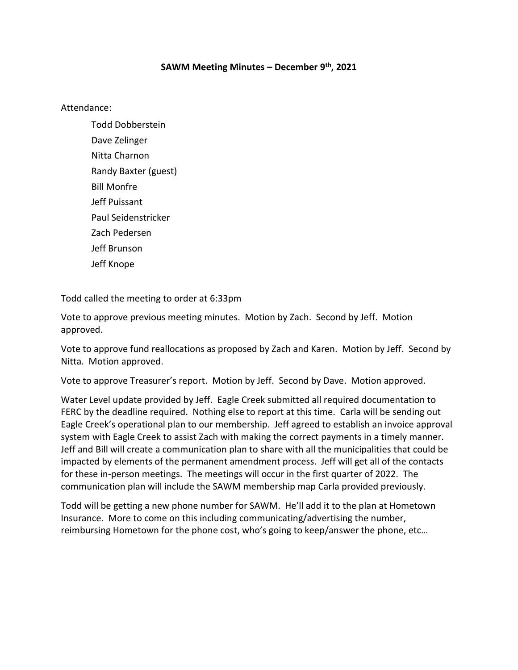## **SAWM Meeting Minutes – December 9th, 2021**

Attendance:

Todd Dobberstein Dave Zelinger Nitta Charnon Randy Baxter (guest) Bill Monfre Jeff Puissant Paul Seidenstricker Zach Pedersen Jeff Brunson Jeff Knope

Todd called the meeting to order at 6:33pm

Vote to approve previous meeting minutes. Motion by Zach. Second by Jeff. Motion approved.

Vote to approve fund reallocations as proposed by Zach and Karen. Motion by Jeff. Second by Nitta. Motion approved.

Vote to approve Treasurer's report. Motion by Jeff. Second by Dave. Motion approved.

Water Level update provided by Jeff. Eagle Creek submitted all required documentation to FERC by the deadline required. Nothing else to report at this time. Carla will be sending out Eagle Creek's operational plan to our membership. Jeff agreed to establish an invoice approval system with Eagle Creek to assist Zach with making the correct payments in a timely manner. Jeff and Bill will create a communication plan to share with all the municipalities that could be impacted by elements of the permanent amendment process. Jeff will get all of the contacts for these in-person meetings. The meetings will occur in the first quarter of 2022. The communication plan will include the SAWM membership map Carla provided previously.

Todd will be getting a new phone number for SAWM. He'll add it to the plan at Hometown Insurance. More to come on this including communicating/advertising the number, reimbursing Hometown for the phone cost, who's going to keep/answer the phone, etc…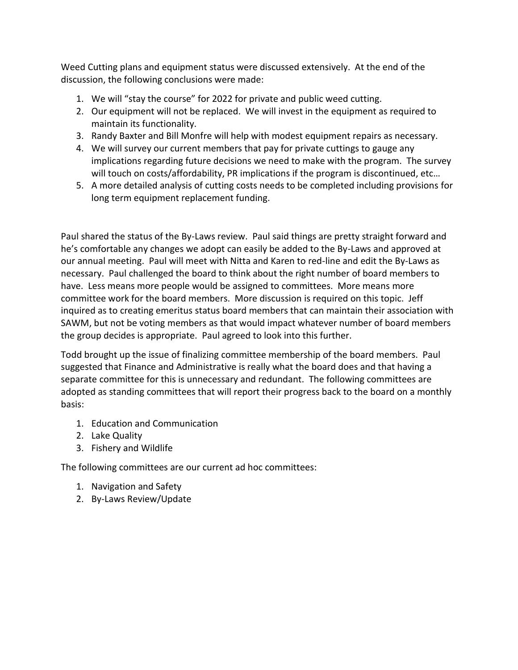Weed Cutting plans and equipment status were discussed extensively. At the end of the discussion, the following conclusions were made:

- 1. We will "stay the course" for 2022 for private and public weed cutting.
- 2. Our equipment will not be replaced. We will invest in the equipment as required to maintain its functionality.
- 3. Randy Baxter and Bill Monfre will help with modest equipment repairs as necessary.
- 4. We will survey our current members that pay for private cuttings to gauge any implications regarding future decisions we need to make with the program. The survey will touch on costs/affordability, PR implications if the program is discontinued, etc...
- 5. A more detailed analysis of cutting costs needs to be completed including provisions for long term equipment replacement funding.

Paul shared the status of the By-Laws review. Paul said things are pretty straight forward and he's comfortable any changes we adopt can easily be added to the By-Laws and approved at our annual meeting. Paul will meet with Nitta and Karen to red-line and edit the By-Laws as necessary. Paul challenged the board to think about the right number of board members to have. Less means more people would be assigned to committees. More means more committee work for the board members. More discussion is required on this topic. Jeff inquired as to creating emeritus status board members that can maintain their association with SAWM, but not be voting members as that would impact whatever number of board members the group decides is appropriate. Paul agreed to look into this further.

Todd brought up the issue of finalizing committee membership of the board members. Paul suggested that Finance and Administrative is really what the board does and that having a separate committee for this is unnecessary and redundant. The following committees are adopted as standing committees that will report their progress back to the board on a monthly basis:

- 1. Education and Communication
- 2. Lake Quality
- 3. Fishery and Wildlife

The following committees are our current ad hoc committees:

- 1. Navigation and Safety
- 2. By-Laws Review/Update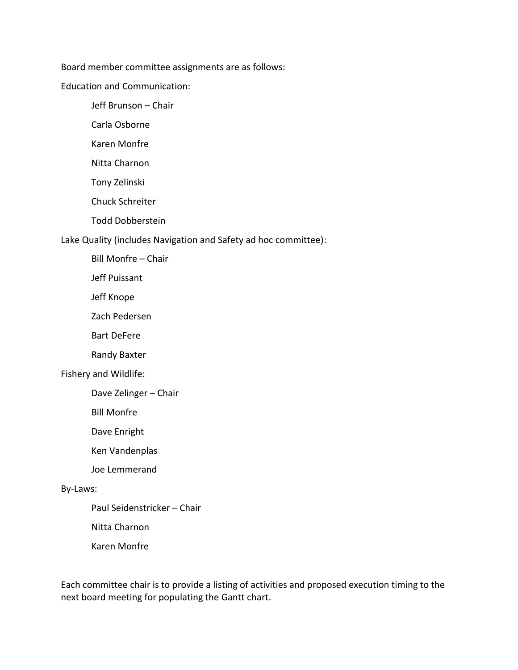Board member committee assignments are as follows:

Education and Communication:

Jeff Brunson – Chair

Carla Osborne

Karen Monfre

Nitta Charnon

Tony Zelinski

Chuck Schreiter

Todd Dobberstein

Lake Quality (includes Navigation and Safety ad hoc committee):

Bill Monfre – Chair

Jeff Puissant

Jeff Knope

Zach Pedersen

Bart DeFere

Randy Baxter

## Fishery and Wildlife:

Dave Zelinger – Chair

Bill Monfre

Dave Enright

Ken Vandenplas

Joe Lemmerand

## By-Laws:

Paul Seidenstricker – Chair

Nitta Charnon

Karen Monfre

Each committee chair is to provide a listing of activities and proposed execution timing to the next board meeting for populating the Gantt chart.